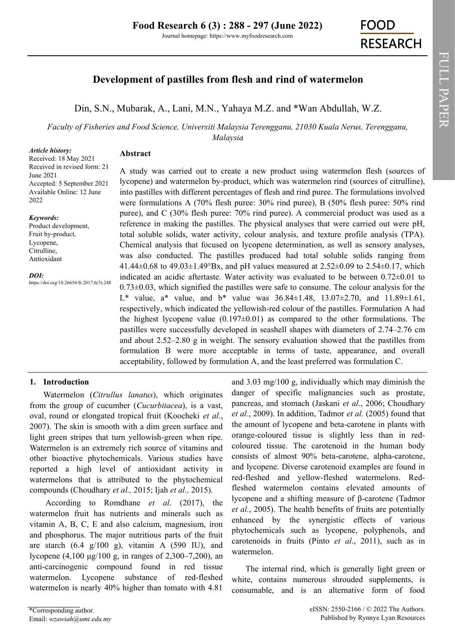# **Development of pastilles from flesh and rind of watermelon**

Din, S.N., [Mubarak, A.,](https://orcid.org/0000-0002-1381-3532) [Lani, M.N., Y](https://orcid.org/0000-0002-3643-7242)ahaya M.Z. and \*[Wan Abdullah, W.Z.](https://orcid.org/0000-0003-4698-4781)

*Faculty of Fisheries and Food Science, Universiti Malaysia Terengganu, 21030 Kuala Nerus, Terengganu, Malaysia*

#### *Article history:*

**Abstract**

Received: 18 May 2021 Received in revised form: 21 June 2021 Accepted: 5 September 2021 Available Online: 12 June 2022

#### *Keywords:*

Product development, Fruit by-product, Lycopene, Citrulline, Antioxidant

*DOI:*

https://doi.org/10.26656/fr.2017.6(3).248

A study was carried out to create a new product using watermelon flesh (sources of lycopene) and watermelon by-product, which was watermelon rind (sources of citrulline), into pastilles with different percentages of flesh and rind puree. The formulations involved were formulations A (70% flesh puree: 30% rind puree), B (50% flesh puree: 50% rind puree), and C (30% flesh puree: 70% rind puree). A commercial product was used as a reference in making the pastilles. The physical analyses that were carried out were pH, total soluble solids, water activity, colour analysis, and texture profile analysis (TPA). Chemical analysis that focused on lycopene determination, as well as sensory analyses, was also conducted. The pastilles produced had total soluble solids ranging from 41.44 $\pm$ 0.68 to 49.03 $\pm$ 1.49°Bx, and pH values measured at 2.52 $\pm$ 0.09 to 2.54 $\pm$ 0.17, which indicated an acidic aftertaste. Water activity was evaluated to be between 0.72±0.01 to  $0.73\pm0.03$ , which signified the pastilles were safe to consume. The colour analysis for the L\* value, a\* value, and b\* value was  $36.84 \pm 1.48$ ,  $13.07 \pm 2.70$ , and  $11.89 \pm 1.61$ , respectively, which indicated the yellowish-red colour of the pastilles. Formulation A had the highest lycopene value  $(0.197\pm0.01)$  as compared to the other formulations. The pastilles were successfully developed in seashell shapes with diameters of 2.74–2.76 cm and about 2.52–2.80 g in weight. The sensory evaluation showed that the pastilles from formulation B were more acceptable in terms of taste, appearance, and overall acceptability, followed by formulation A, and the least preferred was formulation C.

## **1. Introduction**

Watermelon (*Citrullus lanatus*), which originates from the group of cucumber (*Cucurbitacea*), is a vast, oval, round or elongated tropical fruit (Koocheki *et al*., 2007). The skin is smooth with a dim green surface and light green stripes that turn yellowish-green when ripe. Watermelon is an extremely rich source of vitamins and other bioactive phytochemicals. Various studies have reported a high level of antioxidant activity in watermelons that is attributed to the phytochemical compounds (Choudhary *et al.,* 2015; Ijah *et al.,* 2015).

According to Romdhane *et al*. (2017), the watermelon fruit has nutrients and minerals such as vitamin A, B, C, E and also calcium, magnesium, iron and phosphorus. The major nutritious parts of the fruit are starch  $(6.4 \text{ g}/100 \text{ g})$ , vitamin A  $(590 \text{ IU})$ , and lycopene (4,100 μg/100 g, in ranges of 2,300–7,200), an anti-carcinogenic compound found in red tissue watermelon. Lycopene substance of red-fleshed watermelon is nearly 40% higher than tomato with 4.81

and 3.03 mg/100 g, individually which may diminish the danger of specific malignancies such as prostate, pancreas, and stomach (Jaskani *et al*., 2006; Choudhary *et al.*, 2009). In addition, Tadmor *et al.* (2005) found that the amount of lycopene and beta-carotene in plants with orange-coloured tissue is slightly less than in redcoloured tissue. The carotenoid in the human body consists of almost 90% beta-carotene, alpha-carotene, and lycopene. Diverse carotenoid examples are found in red-fleshed and yellow-fleshed watermelons. Redfleshed watermelon contains elevated amounts of lycopene and a shifting measure of β-carotene (Tadmor *et al.*, 2005). The health benefits of fruits are potentially enhanced by the synergistic effects of various phytochemicals such as lycopene, polyphenols, and carotenoids in fruits (Pinto *et al*., 2011), such as in watermelon.

The internal rind, which is generally light green or white, contains numerous shrouded supplements, is consumable, and is an alternative form of food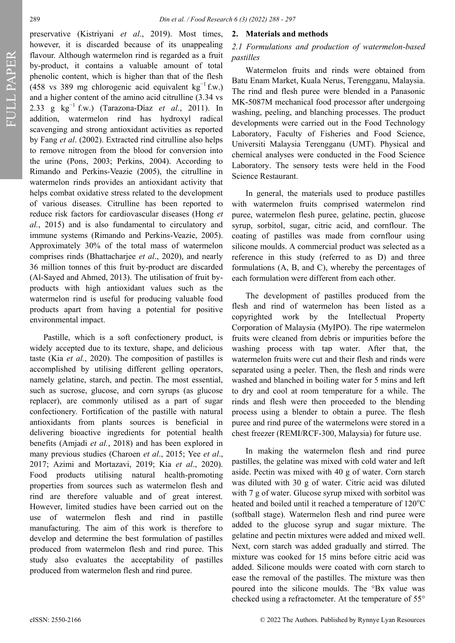FULL PAPER

preservative (Kistriyani *et al*., 2019). Most times, however, it is discarded because of its unappealing flavour. Although watermelon rind is regarded as a fruit by-product, it contains a valuable amount of total phenolic content, which is higher than that of the flesh (458 vs 389 mg chlorogenic acid equivalent kg<sup>-1</sup> f.w.) and a higher content of the amino acid citrulline (3.34 vs 2.33 g kg−1 f.w.) (Tarazona‐Díaz *et al.*, 2011). In addition, watermelon rind has hydroxyl radical scavenging and strong antioxidant activities as reported by Fang *et al*. (2002). Extracted rind citrulline also helps to remove nitrogen from the blood for conversion into the urine (Pons, 2003; Perkins, 2004). According to Rimando and Perkins-Veazie (2005), the citrulline in watermelon rinds provides an antioxidant activity that helps combat oxidative stress related to the development of various diseases. Citrulline has been reported to reduce risk factors for cardiovascular diseases (Hong *et al.*, 2015) and is also fundamental to circulatory and immune systems (Rimando and Perkins-Veazie, 2005). Approximately 30% of the total mass of watermelon comprises rinds (Bhattacharjee *et al*., 2020), and nearly 36 million tonnes of this fruit by-product are discarded (Al-Sayed and Ahmed, 2013). The utilisation of fruit byproducts with high antioxidant values such as the watermelon rind is useful for producing valuable food products apart from having a potential for positive environmental impact.

Pastille, which is a soft confectionery product, is widely accepted due to its texture, shape, and delicious taste (Kia *et al.*, 2020). The composition of pastilles is accomplished by utilising different gelling operators, namely gelatine, starch, and pectin. The most essential, such as sucrose, glucose, and corn syrups (as glucose replacer), are commonly utilised as a part of sugar confectionery. Fortification of the pastille with natural antioxidants from plants sources is beneficial in delivering bioactive ingredients for potential health benefits (Amjadi *et al.*, 2018) and has been explored in many previous studies (Charoen *et al*., 2015; Yee *et al*., 2017; Azimi and Mortazavi, 2019; Kia *et al*., 2020). Food products utilising natural health-promoting properties from sources such as watermelon flesh and rind are therefore valuable and of great interest. However, limited studies have been carried out on the use of watermelon flesh and rind in pastille manufacturing. The aim of this work is therefore to develop and determine the best formulation of pastilles produced from watermelon flesh and rind puree. This study also evaluates the acceptability of pastilles produced from watermelon flesh and rind puree.

#### **2. Materials and methods**

# *2.1 Formulations and production of watermelon-based pastilles*

Watermelon fruits and rinds were obtained from Batu Enam Market, Kuala Nerus, Terengganu, Malaysia. The rind and flesh puree were blended in a Panasonic MK-5087M mechanical food processor after undergoing washing, peeling, and blanching processes. The product developments were carried out in the Food Technology Laboratory, Faculty of Fisheries and Food Science, Universiti Malaysia Terengganu (UMT). Physical and chemical analyses were conducted in the Food Science Laboratory. The sensory tests were held in the Food Science Restaurant.

In general, the materials used to produce pastilles with watermelon fruits comprised watermelon rind puree, watermelon flesh puree, gelatine, pectin, glucose syrup, sorbitol, sugar, citric acid, and cornflour. The coating of pastilles was made from cornflour using silicone moulds. A commercial product was selected as a reference in this study (referred to as D) and three formulations (A, B, and C), whereby the percentages of each formulation were different from each other.

The development of pastilles produced from the flesh and rind of watermelon has been listed as a copyrighted work by the Intellectual Property Corporation of Malaysia (MyIPO). The ripe watermelon fruits were cleaned from debris or impurities before the washing process with tap water. After that, the watermelon fruits were cut and their flesh and rinds were separated using a peeler. Then, the flesh and rinds were washed and blanched in boiling water for 5 mins and left to dry and cool at room temperature for a while. The rinds and flesh were then proceeded to the blending process using a blender to obtain a puree. The flesh puree and rind puree of the watermelons were stored in a chest freezer (REMI/RCF-300, Malaysia) for future use.

In making the watermelon flesh and rind puree pastilles, the gelatine was mixed with cold water and left aside. Pectin was mixed with 40 g of water. Corn starch was diluted with 30 g of water. Citric acid was diluted with 7 g of water. Glucose syrup mixed with sorbitol was heated and boiled until it reached a temperature of  $120^{\circ}$ C (softball stage). Watermelon flesh and rind puree were added to the glucose syrup and sugar mixture. The gelatine and pectin mixtures were added and mixed well. Next, corn starch was added gradually and stirred. The mixture was cooked for 15 mins before citric acid was added. Silicone moulds were coated with corn starch to ease the removal of the pastilles. The mixture was then poured into the silicone moulds. The °Bx value was checked using a refractometer. At the temperature of 55°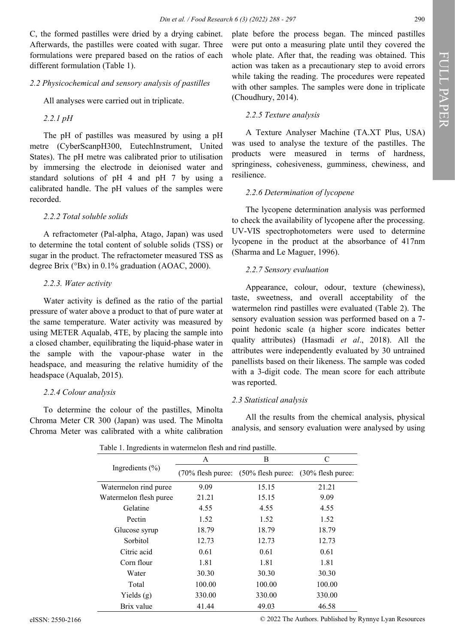C, the formed pastilles were dried by a drying cabinet. Afterwards, the pastilles were coated with sugar. Three formulations were prepared based on the ratios of each different formulation (Table 1).

#### *2.2 Physicochemical and sensory analysis of pastilles*

All analyses were carried out in triplicate.

*2.2.1 pH*

The pH of pastilles was measured by using a pH metre (CyberScanpH300, EutechInstrument, United States). The pH metre was calibrated prior to utilisation by immersing the electrode in deionised water and standard solutions of pH 4 and pH 7 by using a calibrated handle. The pH values of the samples were recorded.

### *2.2.2 Total soluble solids*

A refractometer (Pal-alpha, Atago, Japan) was used to determine the total content of soluble solids (TSS) or sugar in the product. The refractometer measured TSS as degree Brix (°Bx) in 0.1% graduation (AOAC, 2000).

### *2.2.3. Water activity*

Water activity is defined as the ratio of the partial pressure of water above a product to that of pure water at the same temperature. Water activity was measured by using METER Aqualab, 4TE, by placing the sample into a closed chamber, equilibrating the liquid-phase water in the sample with the vapour-phase water in the headspace, and measuring the relative humidity of the headspace (Aqualab, 2015).

#### *2.2.4 Colour analysis*

To determine the colour of the pastilles, Minolta Chroma Meter CR 300 (Japan) was used. The Minolta Chroma Meter was calibrated with a white calibration

plate before the process began. The minced pastilles were put onto a measuring plate until they covered the whole plate. After that, the reading was obtained. This action was taken as a precautionary step to avoid errors while taking the reading. The procedures were repeated with other samples. The samples were done in triplicate (Choudhury, 2014).

# *2.2.5 Texture analysis*

A Texture Analyser Machine (TA.XT Plus, USA) was used to analyse the texture of the pastilles. The products were measured in terms of hardness, springiness, cohesiveness, gumminess, chewiness, and resilience.

### *2.2.6 Determination of lycopene*

The lycopene determination analysis was performed to check the availability of lycopene after the processing. UV-VIS spectrophotometers were used to determine lycopene in the product at the absorbance of 417nm (Sharma and Le Maguer, 1996).

# *2.2.7 Sensory evaluation*

Appearance, colour, odour, texture (chewiness), taste, sweetness, and overall acceptability of the watermelon rind pastilles were evaluated (Table 2). The sensory evaluation session was performed based on a 7 point hedonic scale (a higher score indicates better quality attributes) (Hasmadi *et al*., 2018). All the attributes were independently evaluated by 30 untrained panellists based on their likeness. The sample was coded with a 3-digit code. The mean score for each attribute was reported.

# *2.3 Statistical analysis*

All the results from the chemical analysis, physical analysis, and sensory evaluation were analysed by using

Table 1. Ingredients in watermelon flesh and rind pastille.

| Tuote 1: Ingrediento in watermeton neon and rind pastine. |        |                                                       |        |  |
|-----------------------------------------------------------|--------|-------------------------------------------------------|--------|--|
|                                                           | A      | Β                                                     | C      |  |
| Ingredients $(\% )$                                       |        | (70% flesh puree: (50% flesh puree: (30% flesh puree: |        |  |
| Watermelon rind puree                                     | 9.09   | 15.15                                                 | 21.21  |  |
| Watermelon flesh puree                                    | 21.21  | 15.15                                                 | 9.09   |  |
| Gelatine                                                  | 4.55   | 4.55                                                  | 4.55   |  |
| Pectin                                                    | 1.52   | 1.52                                                  | 1.52   |  |
| Glucose syrup                                             | 18.79  | 18.79                                                 | 18.79  |  |
| Sorbitol                                                  | 12.73  | 12.73                                                 | 12.73  |  |
| Citric acid                                               | 0.61   | 0.61                                                  | 0.61   |  |
| Corn flour                                                | 1.81   | 1.81                                                  | 1.81   |  |
| Water                                                     | 30.30  | 30.30                                                 | 30.30  |  |
| Total                                                     | 100.00 | 100.00                                                | 100.00 |  |
| Yields $(g)$                                              | 330.00 | 330.00                                                | 330.00 |  |
| Brix value                                                | 41.44  | 49.03                                                 | 46.58  |  |

eISSN: 2550-2166 © 2022 The Authors. Published by Rynnye Lyan Resources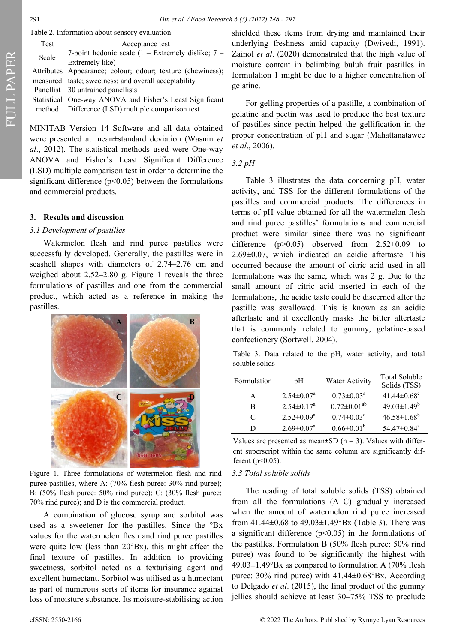| Table 2. Information about sensory evaluation |  |  |
|-----------------------------------------------|--|--|
|                                               |  |  |

| Test  | Acceptance test                                            |
|-------|------------------------------------------------------------|
| Scale | 7-point hedonic scale $(1 -$ Extremely dislike; $7 -$      |
|       | Extremely like)                                            |
|       | Attributes Appearance; colour; odour; texture (chewiness); |
|       | measured taste; sweetness; and overall acceptability       |
|       | Panellist 30 untrained panellists                          |
|       | Statistical One-way ANOVA and Fisher's Least Significant   |
|       | method Difference (LSD) multiple comparison test           |
|       |                                                            |

MINITAB Version 14 Software and all data obtained were presented at mean±standard deviation (Wasnin *et al*., 2012). The statistical methods used were One-way ANOVA and Fisher's Least Significant Difference (LSD) multiple comparison test in order to determine the significant difference  $(p<0.05)$  between the formulations and commercial products.

# **3. Results and discussion**

#### *3.1 Development of pastilles*

Watermelon flesh and rind puree pastilles were successfully developed. Generally, the pastilles were in seashell shapes with diameters of 2.74–2.76 cm and weighed about 2.52–2.80 g. Figure 1 reveals the three formulations of pastilles and one from the commercial product, which acted as a reference in making the pastilles.



Figure 1. Three formulations of watermelon flesh and rind puree pastilles, where A: (70% flesh puree: 30% rind puree); B: (50% flesh puree: 50% rind puree); C: (30% flesh puree: 70% rind puree); and D is the commercial product.

A combination of glucose syrup and sorbitol was used as a sweetener for the pastilles. Since the °Bx values for the watermelon flesh and rind puree pastilles were quite low (less than 20°Bx), this might affect the final texture of pastilles. In addition to providing sweetness, sorbitol acted as a texturising agent and excellent humectant. Sorbitol was utilised as a humectant as part of numerous sorts of items for insurance against loss of moisture substance. Its moisture-stabilising action

shielded these items from drying and maintained their underlying freshness amid capacity (Dwivedi, 1991). Zainol *et al*. (2020) demonstrated that the high value of moisture content in belimbing buluh fruit pastilles in formulation 1 might be due to a higher concentration of gelatine.

For gelling properties of a pastille, a combination of gelatine and pectin was used to produce the best texture of pastilles since pectin helped the gellification in the proper concentration of pH and sugar (Mahattanatawee *et al*., 2006).

### *3.2 pH*

Table 3 illustrates the data concerning pH, water activity, and TSS for the different formulations of the pastilles and commercial products. The differences in terms of pH value obtained for all the watermelon flesh and rind puree pastilles' formulations and commercial product were similar since there was no significant difference ( $p > 0.05$ ) observed from 2.52 $\pm$ 0.09 to 2.69±0.07, which indicated an acidic aftertaste. This occurred because the amount of citric acid used in all formulations was the same, which was 2 g. Due to the small amount of citric acid inserted in each of the formulations, the acidic taste could be discerned after the pastille was swallowed. This is known as an acidic aftertaste and it excellently masks the bitter aftertaste that is commonly related to gummy, gelatine-based confectionery (Sortwell, 2004).

Table 3. Data related to the pH, water activity, and total soluble solids

| Formulation | pH                           | Water Activity             | Total Soluble<br>Solids (TSS) |
|-------------|------------------------------|----------------------------|-------------------------------|
| A           | $2.54 \pm 0.07^{\text{a}}$   | $0.73 \pm 0.03^{\text{a}}$ | 41.44 $\pm$ 0.68 $^{\circ}$   |
| R           | $2.54 \pm 0.17^a$            | $0.72 \pm 0.01^{ab}$       | $49.03 \pm 1.49^b$            |
| C           | $2.52 \pm 0.09^a$            | $0.74 \pm 0.03^{\text{a}}$ | $46.58 \pm 1.68^b$            |
| D           | $2.69 \pm 0.07$ <sup>a</sup> | $0.66 \pm 0.01^b$          | 54.47±0.84 <sup>a</sup>       |

Values are presented as mean $\pm$ SD (n = 3). Values with different superscript within the same column are significantly different ( $p$  < 0.05).

# *3.3 Total soluble solids*

The reading of total soluble solids (TSS) obtained from all the formulations (A–C) gradually increased when the amount of watermelon rind puree increased from 41.44 $\pm$ 0.68 to 49.03 $\pm$ 1.49°Bx (Table 3). There was a significant difference  $(p<0.05)$  in the formulations of the pastilles. Formulation B (50% flesh puree: 50% rind puree) was found to be significantly the highest with  $49.03\pm1.49^{\circ}$ Bx as compared to formulation A (70% flesh puree: 30% rind puree) with 41.44±0.68°Bx. According to Delgado *et al*. (2015), the final product of the gummy jellies should achieve at least 30–75% TSS to preclude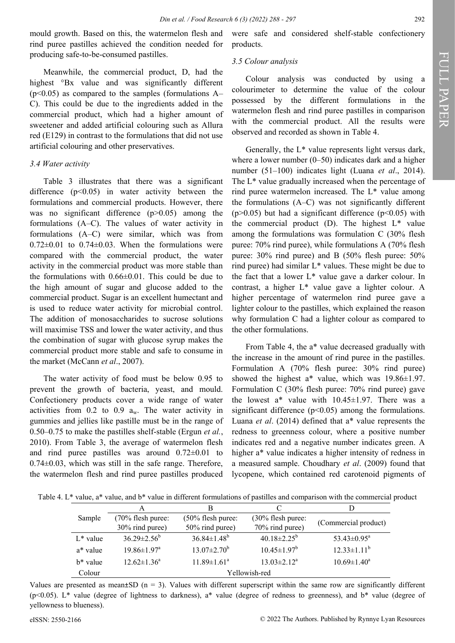mould growth. Based on this, the watermelon flesh and rind puree pastilles achieved the condition needed for producing safe-to-be-consumed pastilles.

Meanwhile, the commercial product, D, had the highest °Bx value and was significantly different  $(p<0.05)$  as compared to the samples (formulations A– C). This could be due to the ingredients added in the commercial product, which had a higher amount of sweetener and added artificial colouring such as Allura red (E129) in contrast to the formulations that did not use artificial colouring and other preservatives.

#### *3.4 Water activity*

Table 3 illustrates that there was a significant difference  $(p<0.05)$  in water activity between the formulations and commercial products. However, there was no significant difference (p>0.05) among the formulations (A–C). The values of water activity in formulations (A–C) were similar, which was from  $0.72\pm0.01$  to  $0.74\pm0.03$ . When the formulations were compared with the commercial product, the water activity in the commercial product was more stable than the formulations with 0.66±0.01. This could be due to the high amount of sugar and glucose added to the commercial product. Sugar is an excellent humectant and is used to reduce water activity for microbial control. The addition of monosaccharides to sucrose solutions will maximise TSS and lower the water activity, and thus the combination of sugar with glucose syrup makes the commercial product more stable and safe to consume in the market (McCann *et al*., 2007).

The water activity of food must be below 0.95 to prevent the growth of bacteria, yeast, and mould. Confectionery products cover a wide range of water activities from  $0.2$  to  $0.9$  a<sub>w</sub>. The water activity in gummies and jellies like pastille must be in the range of 0.50–0.75 to make the pastilles shelf-stable (Ergun *et al.*, 2010). From Table 3, the average of watermelon flesh and rind puree pastilles was around 0.72±0.01 to  $0.74\pm0.03$ , which was still in the safe range. Therefore, the watermelon flesh and rind puree pastilles produced were safe and considered shelf-stable confectionery products.

#### *3.5 Colour analysis*

Colour analysis was conducted by using a colourimeter to determine the value of the colour possessed by the different formulations in the watermelon flesh and rind puree pastilles in comparison with the commercial product. All the results were observed and recorded as shown in Table 4.

Generally, the L\* value represents light versus dark, where a lower number  $(0-50)$  indicates dark and a higher number (51–100) indicates light (Luana *et al*., 2014). The L\* value gradually increased when the percentage of rind puree watermelon increased. The L\* value among the formulations (A–C) was not significantly different ( $p > 0.05$ ) but had a significant difference ( $p < 0.05$ ) with the commercial product  $(D)$ . The highest  $L^*$  value among the formulations was formulation C (30% flesh puree: 70% rind puree), while formulations A (70% flesh puree: 30% rind puree) and B (50% flesh puree: 50% rind puree) had similar  $L^*$  values. These might be due to the fact that a lower  $L^*$  value gave a darker colour. In contrast, a higher L\* value gave a lighter colour. A higher percentage of watermelon rind puree gave a lighter colour to the pastilles, which explained the reason why formulation C had a lighter colour as compared to the other formulations.

From Table 4, the a\* value decreased gradually with the increase in the amount of rind puree in the pastilles. Formulation A (70% flesh puree: 30% rind puree) showed the highest a\* value, which was  $19.86 \pm 1.97$ . Formulation C (30% flesh puree: 70% rind puree) gave the lowest  $a^*$  value with  $10.45 \pm 1.97$ . There was a significant difference  $(p<0.05)$  among the formulations. Luana *et al*. (2014) defined that a\* value represents the redness to greenness colour, where a positive number indicates red and a negative number indicates green. A higher a\* value indicates a higher intensity of redness in a measured sample. Choudhary *et al*. (2009) found that lycopene, which contained red carotenoid pigments of

Table 4. L\* value, a\* value, and b\* value in different formulations of pastilles and comparison with the commercial product

|             | A                           |                          |                          |                               |
|-------------|-----------------------------|--------------------------|--------------------------|-------------------------------|
| Sample      | $(70\%$ flesh puree:        | $(50\%$ flesh puree:     | (30% flesh puree:        |                               |
|             | 30% rind puree)             | 50% rind puree)          | 70% rind puree)          | (Commercial product)          |
| $L^*$ value | $36.29 \pm 2.56^b$          | $36.84 \pm 1.48^b$       | $40.18 \pm 2.25^{\rm b}$ | 53.43 $\pm$ 0.95 <sup>a</sup> |
| a* value    | $19.86 \pm 1.97^{\text{a}}$ | $13.07 \pm 2.70^{\rm b}$ | $10.45 \pm 1.97^b$       | $12.33 \pm 1.11^b$            |
| $h^*$ value | $12.62 \pm 1.36^a$          | $11.89 \pm 1.61^a$       | $13.03 \pm 2.12^a$       | $10.69 \pm 1.40^a$            |
| Colour      | Yellowish-red               |                          |                          |                               |

Values are presented as mean $\pm$ SD (n = 3). Values with different superscript within the same row are significantly different (p<0.05). L\* value (degree of lightness to darkness), a\* value (degree of redness to greenness), and b\* value (degree of yellowness to blueness).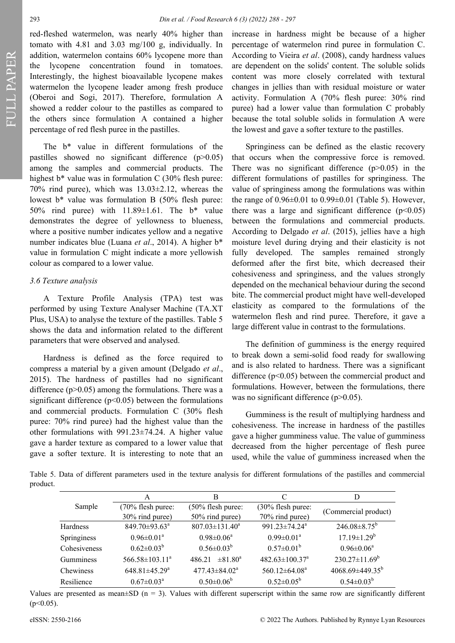FULL PAPER

red-fleshed watermelon, was nearly 40% higher than tomato with 4.81 and 3.03 mg/100 g, individually. In addition, watermelon contains 60% lycopene more than the lycopene concentration found in tomatoes. Interestingly, the highest bioavailable lycopene makes watermelon the lycopene leader among fresh produce (Oberoi and Sogi, 2017). Therefore, formulation A showed a redder colour to the pastilles as compared to the others since formulation A contained a higher percentage of red flesh puree in the pastilles.

The b\* value in different formulations of the pastilles showed no significant difference (p>0.05) among the samples and commercial products. The highest b<sup>\*</sup> value was in formulation C (30% flesh puree: 70% rind puree), which was 13.03±2.12, whereas the lowest b\* value was formulation B (50% flesh puree: 50% rind puree) with 11.89±1.61. The b\* value demonstrates the degree of yellowness to blueness, where a positive number indicates yellow and a negative number indicates blue (Luana *et al*., 2014). A higher b\* value in formulation C might indicate a more yellowish colour as compared to a lower value.

#### *3.6 Texture analysis*

A Texture Profile Analysis (TPA) test was performed by using Texture Analyser Machine (TA.XT Plus, USA) to analyse the texture of the pastilles. Table 5 shows the data and information related to the different parameters that were observed and analysed.

Hardness is defined as the force required to compress a material by a given amount (Delgado *et al*., 2015). The hardness of pastilles had no significant difference  $(p>0.05)$  among the formulations. There was a significant difference ( $p$ <0.05) between the formulations and commercial products. Formulation C (30% flesh puree: 70% rind puree) had the highest value than the other formulations with 991.23±74.24. A higher value gave a harder texture as compared to a lower value that gave a softer texture. It is interesting to note that an

increase in hardness might be because of a higher percentage of watermelon rind puree in formulation C. According to Vieira *et al*. (2008), candy hardness values are dependent on the solids' content. The soluble solids content was more closely correlated with textural changes in jellies than with residual moisture or water activity. Formulation A (70% flesh puree: 30% rind puree) had a lower value than formulation C probably because the total soluble solids in formulation A were the lowest and gave a softer texture to the pastilles.

Springiness can be defined as the elastic recovery that occurs when the compressive force is removed. There was no significant difference  $(p>0.05)$  in the different formulations of pastilles for springiness. The value of springiness among the formulations was within the range of  $0.96\pm0.01$  to  $0.99\pm0.01$  (Table 5). However, there was a large and significant difference  $(p<0.05)$ between the formulations and commercial products. According to Delgado *et al*. (2015), jellies have a high moisture level during drying and their elasticity is not fully developed. The samples remained strongly deformed after the first bite, which decreased their cohesiveness and springiness, and the values strongly depended on the mechanical behaviour during the second bite. The commercial product might have well-developed elasticity as compared to the formulations of the watermelon flesh and rind puree. Therefore, it gave a large different value in contrast to the formulations.

The definition of gumminess is the energy required to break down a semi-solid food ready for swallowing and is also related to hardness. There was a significant difference  $(p<0.05)$  between the commercial product and formulations. However, between the formulations, there was no significant difference (p>0.05).

Gumminess is the result of multiplying hardness and cohesiveness. The increase in hardness of the pastilles gave a higher gumminess value. The value of gumminess decreased from the higher percentage of flesh puree used, while the value of gumminess increased when the

Table 5. Data of different parameters used in the texture analysis for different formulations of the pastilles and commercial product.

|              | A                               | B                             | C                                | D                         |
|--------------|---------------------------------|-------------------------------|----------------------------------|---------------------------|
| Sample       | (70% flesh puree:               | (50% flesh puree:             | (30% flesh puree:                | (Commercial product)      |
|              | 30% rind puree)                 | 50% rind puree)               | 70% rind puree)                  |                           |
| Hardness     | 849.70±93.63 <sup>a</sup>       | $807.03 \pm 131.40^a$         | 991.23±74.24 <sup>a</sup>        | $246.08 \pm 8.75^{\rm b}$ |
| Springiness  | $0.96 \pm 0.01^a$               | $0.98 \pm 0.06^a$             | $0.99 \pm 0.01^a$                | $17.19 \pm 1.29^b$        |
| Cohesiveness | $0.62 \pm 0.03^b$               | $0.56 \pm 0.03^b$             | $0.57 \pm 0.01^b$                | $0.96 \pm 0.06^a$         |
| Gumminess    | 566.58±103.11 <sup>a</sup>      | $\pm 81.80^{\circ}$<br>486.21 | $482.63 \pm 100.37$ <sup>a</sup> | $230.27 \pm 11.69^b$      |
| Chewiness    | $648.81 \pm 45.29$ <sup>a</sup> | 477.43±84.02 <sup>a</sup>     | 560.12±64.08 <sup>a</sup>        | $4068.69\pm449.35^b$      |
| Resilience   | $0.67 \pm 0.03^{\text{a}}$      | $0.50 \pm 0.06^b$             | $0.52 \pm 0.05^{\rm b}$          | $0.54 \pm 0.03^b$         |

Values are presented as mean $\pm$ SD (n = 3). Values with different superscript within the same row are significantly different  $(p<0.05)$ .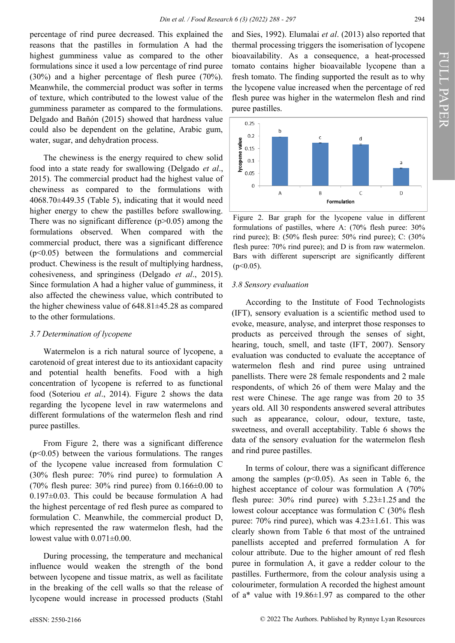percentage of rind puree decreased. This explained the reasons that the pastilles in formulation A had the highest gumminess value as compared to the other formulations since it used a low percentage of rind puree (30%) and a higher percentage of flesh puree (70%). Meanwhile, the commercial product was softer in terms of texture, which contributed to the lowest value of the gumminess parameter as compared to the formulations. Delgado and Bañón (2015) showed that hardness value could also be dependent on the gelatine, Arabic gum, water, sugar, and dehydration process.

The chewiness is the energy required to chew solid food into a state ready for swallowing (Delgado *et al*., 2015). The commercial product had the highest value of chewiness as compared to the formulations with 4068.70±449.35 (Table 5), indicating that it would need higher energy to chew the pastilles before swallowing. There was no significant difference  $(p>0.05)$  among the formulations observed. When compared with the commercial product, there was a significant difference  $(p<0.05)$  between the formulations and commercial product. Chewiness is the result of multiplying hardness, cohesiveness, and springiness (Delgado *et al*., 2015). Since formulation A had a higher value of gumminess, it also affected the chewiness value, which contributed to the higher chewiness value of 648.81±45.28 as compared to the other formulations.

#### *3.7 Determination of lycopene*

Watermelon is a rich natural source of lycopene, a carotenoid of great interest due to its antioxidant capacity and potential health benefits. Food with a high concentration of lycopene is referred to as functional food (Soteriou *et al*., 2014). Figure 2 shows the data regarding the lycopene level in raw watermelons and different formulations of the watermelon flesh and rind puree pastilles.

From Figure 2, there was a significant difference  $(p<0.05)$  between the various formulations. The ranges of the lycopene value increased from formulation C (30% flesh puree: 70% rind puree) to formulation A (70% flesh puree: 30% rind puree) from  $0.166\pm0.00$  to 0.197±0.03. This could be because formulation A had the highest percentage of red flesh puree as compared to formulation C. Meanwhile, the commercial product D, which represented the raw watermelon flesh, had the lowest value with 0.071±0.00.

During processing, the temperature and mechanical influence would weaken the strength of the bond between lycopene and tissue matrix, as well as facilitate in the breaking of the cell walls so that the release of lycopene would increase in processed products (Stahl

and Sies, 1992). Elumalai *et al*. (2013) also reported that thermal processing triggers the isomerisation of lycopene bioavailability. As a consequence, a heat-processed tomato contains higher bioavailable lycopene than a fresh tomato. The finding supported the result as to why the lycopene value increased when the percentage of red flesh puree was higher in the watermelon flesh and rind puree pastilles.



Figure 2. Bar graph for the lycopene value in different formulations of pastilles, where A: (70% flesh puree: 30% rind puree); B: (50% flesh puree: 50% rind puree); C: (30% flesh puree: 70% rind puree); and D is from raw watermelon. Bars with different superscript are significantly different  $(p<0.05)$ .

#### *3.8 Sensory evaluation*

According to the Institute of Food Technologists (IFT), sensory evaluation is a scientific method used to evoke, measure, analyse, and interpret those responses to products as perceived through the senses of sight, hearing, touch, smell, and taste (IFT, 2007). Sensory evaluation was conducted to evaluate the acceptance of watermelon flesh and rind puree using untrained panellists. There were 28 female respondents and 2 male respondents, of which 26 of them were Malay and the rest were Chinese. The age range was from 20 to 35 years old. All 30 respondents answered several attributes such as appearance, colour, odour, texture, taste, sweetness, and overall acceptability. Table 6 shows the data of the sensory evaluation for the watermelon flesh and rind puree pastilles.

In terms of colour, there was a significant difference among the samples ( $p<0.05$ ). As seen in Table 6, the highest acceptance of colour was formulation A (70% flesh puree:  $30\%$  rind puree) with  $5.23 \pm 1.25$  and the lowest colour acceptance was formulation C (30% flesh puree:  $70\%$  rind puree), which was  $4.23 \pm 1.61$ . This was clearly shown from Table 6 that most of the untrained panellists accepted and preferred formulation A for colour attribute. Due to the higher amount of red flesh puree in formulation A, it gave a redder colour to the pastilles. Furthermore, from the colour analysis using a colourimeter, formulation A recorded the highest amount of a\* value with  $19.86 \pm 1.97$  as compared to the other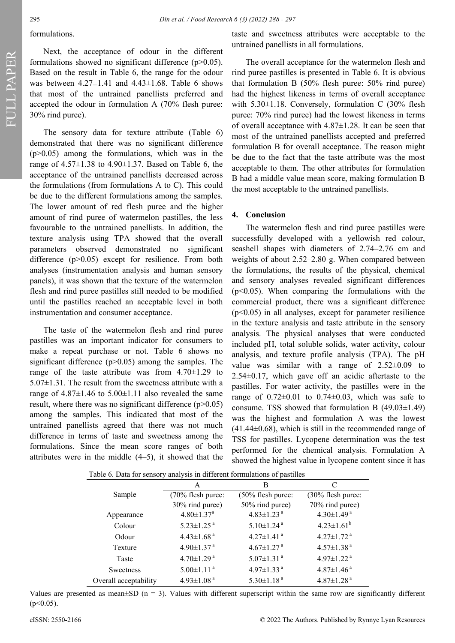FULL PAPER

#### formulations.

Next, the acceptance of odour in the different formulations showed no significant difference  $(p>0.05)$ . Based on the result in Table 6, the range for the odour was between  $4.27 \pm 1.41$  and  $4.43 \pm 1.68$ . Table 6 shows that most of the untrained panellists preferred and accepted the odour in formulation A (70% flesh puree: 30% rind puree).

The sensory data for texture attribute (Table 6) demonstrated that there was no significant difference  $(p>0.05)$  among the formulations, which was in the range of  $4.57 \pm 1.38$  to  $4.90 \pm 1.37$ . Based on Table 6, the acceptance of the untrained panellists decreased across the formulations (from formulations A to C). This could be due to the different formulations among the samples. The lower amount of red flesh puree and the higher amount of rind puree of watermelon pastilles, the less favourable to the untrained panellists. In addition, the texture analysis using TPA showed that the overall parameters observed demonstrated no significant difference (p>0.05) except for resilience. From both analyses (instrumentation analysis and human sensory panels), it was shown that the texture of the watermelon flesh and rind puree pastilles still needed to be modified until the pastilles reached an acceptable level in both instrumentation and consumer acceptance.

The taste of the watermelon flesh and rind puree pastilles was an important indicator for consumers to make a repeat purchase or not. Table 6 shows no significant difference  $(p>0.05)$  among the samples. The range of the taste attribute was from  $4.70 \pm 1.29$  to  $5.07\pm1.31$ . The result from the sweetness attribute with a range of  $4.87\pm1.46$  to  $5.00\pm1.11$  also revealed the same result, where there was no significant difference  $(p>0.05)$ among the samples. This indicated that most of the untrained panellists agreed that there was not much difference in terms of taste and sweetness among the formulations. Since the mean score ranges of both attributes were in the middle (4–5), it showed that the taste and sweetness attributes were acceptable to the untrained panellists in all formulations.

The overall acceptance for the watermelon flesh and rind puree pastilles is presented in Table 6. It is obvious that formulation B (50% flesh puree: 50% rind puree) had the highest likeness in terms of overall acceptance with  $5.30\pm1.18$ . Conversely, formulation C (30% flesh puree: 70% rind puree) had the lowest likeness in terms of overall acceptance with 4.87±1.28. It can be seen that most of the untrained panellists accepted and preferred formulation B for overall acceptance. The reason might be due to the fact that the taste attribute was the most acceptable to them. The other attributes for formulation B had a middle value mean score, making formulation B the most acceptable to the untrained panellists.

#### **4. Conclusion**

The watermelon flesh and rind puree pastilles were successfully developed with a yellowish red colour, seashell shapes with diameters of 2.74–2.76 cm and weights of about 2.52–2.80 g. When compared between the formulations, the results of the physical, chemical and sensory analyses revealed significant differences  $(p<0.05)$ . When comparing the formulations with the commercial product, there was a significant difference  $(p<0.05)$  in all analyses, except for parameter resilience in the texture analysis and taste attribute in the sensory analysis. The physical analyses that were conducted included pH, total soluble solids, water activity, colour analysis, and texture profile analysis (TPA). The pH value was similar with a range of  $2.52\pm0.09$  to 2.54±0.17, which gave off an acidic aftertaste to the pastilles. For water activity, the pastilles were in the range of  $0.72\pm0.01$  to  $0.74\pm0.03$ , which was safe to consume. TSS showed that formulation B  $(49.03\pm1.49)$ was the highest and formulation A was the lowest  $(41.44\pm0.68)$ , which is still in the recommended range of TSS for pastilles. Lycopene determination was the test performed for the chemical analysis. Formulation A showed the highest value in lycopene content since it has

| Table 6. Data for sensory analysis in different formulations of pastifies |                              |                              |                              |  |
|---------------------------------------------------------------------------|------------------------------|------------------------------|------------------------------|--|
|                                                                           | A                            | В                            | C                            |  |
| Sample                                                                    | (70% flesh puree:            | (50% flesh puree:            | $(30\%$ flesh puree:         |  |
|                                                                           | 30% rind puree)              | 50% rind puree)              | 70% rind puree)              |  |
| Appearance                                                                | $4.80 \pm 1.37$ <sup>a</sup> | $4.83 \pm 1.23$ <sup>a</sup> | $4.30 \pm 1.49$ <sup>a</sup> |  |
| Colour                                                                    | $5.23 \pm 1.25$ <sup>a</sup> | $5.10 \pm 1.24$ <sup>a</sup> | $4.23 \pm 1.61^b$            |  |
| Odour                                                                     | $4.43 \pm 1.68$ <sup>a</sup> | 4.27 $\pm$ 1.41 $a$          | $4.27 \pm 1.72$ <sup>a</sup> |  |
| Texture                                                                   | $4.90 \pm 1.37$ <sup>a</sup> | $4.67 \pm 1.27$ <sup>a</sup> | $4.57 \pm 1.38$ <sup>a</sup> |  |
| Taste                                                                     | $4.70 \pm 1.29$ <sup>a</sup> | $5.07 \pm 1.31$ <sup>a</sup> | 4.97 $\pm$ 1.22 $^{\rm a}$   |  |
| <b>Sweetness</b>                                                          | $5.00 \pm 1.11$ <sup>a</sup> | 4.97 $\pm$ 1.33 $^{a}$       | $4.87 \pm 1.46$ <sup>a</sup> |  |
| Overall acceptability                                                     | 4.93 $\pm$ 1.08 $^{a}$       | $5.30 \pm 1.18$ <sup>a</sup> | $4.87 \pm 1.28$ <sup>a</sup> |  |

Table 6. Data for sensory analysis in different formulations of pastilles

Values are presented as mean $\pm$ SD (n = 3). Values with different superscript within the same row are significantly different  $(p<0.05)$ .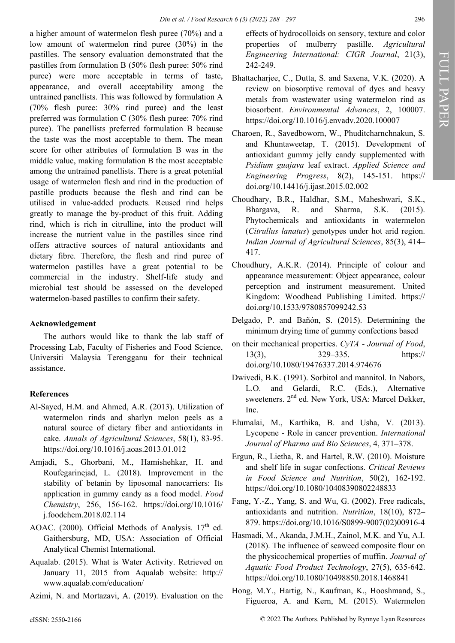a higher amount of watermelon flesh puree (70%) and a low amount of watermelon rind puree (30%) in the pastilles. The sensory evaluation demonstrated that the pastilles from formulation B (50% flesh puree: 50% rind puree) were more acceptable in terms of taste, appearance, and overall acceptability among the untrained panellists. This was followed by formulation A (70% flesh puree: 30% rind puree) and the least preferred was formulation C (30% flesh puree: 70% rind puree). The panellists preferred formulation B because the taste was the most acceptable to them. The mean score for other attributes of formulation B was in the middle value, making formulation B the most acceptable among the untrained panellists. There is a great potential usage of watermelon flesh and rind in the production of pastille products because the flesh and rind can be utilised in value-added products. Reused rind helps greatly to manage the by-product of this fruit. Adding rind, which is rich in citrulline, into the product will increase the nutrient value in the pastilles since rind offers attractive sources of natural antioxidants and dietary fibre. Therefore, the flesh and rind puree of watermelon pastilles have a great potential to be commercial in the industry. Shelf-life study and microbial test should be assessed on the developed watermelon-based pastilles to confirm their safety.

# **Acknowledgement**

The authors would like to thank the lab staff of Processing Lab, Faculty of Fisheries and Food Science, Universiti Malaysia Terengganu for their technical assistance.

# **References**

- Al-Sayed, H.M. and Ahmed, A.R. (2013). Utilization of watermelon rinds and sharlyn melon peels as a natural source of dietary fiber and antioxidants in cake. *Annals of Agricultural Sciences*, 58(1), 83-95. https://doi.org/10.1016/j.aoas.2013.01.012
- Amjadi, S., Ghorbani, M., Hamishehkar, H. and Roufegarinejad, L. (2018). Improvement in the stability of betanin by liposomal nanocarriers: Its application in gummy candy as a food model. *Food Chemistry*, 256, 156-162. https://doi.org/10.1016/ j.foodchem.2018.02.114
- AOAC. (2000). Official Methods of Analysis.  $17<sup>th</sup>$  ed. Gaithersburg, MD, USA: Association of Official Analytical Chemist International.
- Aqualab. (2015). What is Water Activity. Retrieved on January 11, 2015 from Aqualab website: http:// www.aqualab.com/education/
- Azimi, N. and Mortazavi, A. (2019). Evaluation on the

effects of hydrocolloids on sensory, texture and color properties of mulberry pastille. *Agricultural Engineering International: CIGR Journal*, 21(3), 242-249.

- Bhattacharjee, C., Dutta, S. and Saxena, V.K. (2020). A review on biosorptive removal of dyes and heavy metals from wastewater using watermelon rind as biosorbent. *Environmental Advances*, 2, 100007. https://doi.org/10.1016/j.envadv.2020.100007
- Charoen, R., Savedboworn, W., Phuditcharnchnakun, S. and Khuntaweetap, T. (2015). Development of antioxidant gummy jelly candy supplemented with *Psidium guajava* leaf extract. *Applied Science and Engineering Progress*, 8(2), 145-151. https:// doi.org/10.14416/j.ijast.2015.02.002
- Choudhary, B.R., Haldhar, S.M., Maheshwari, S.K., Bhargava, R. and Sharma, S.K. (2015). Phytochemicals and antioxidants in watermelon (*Citrullus lanatus*) genotypes under hot arid region. *Indian Journal of Agricultural Sciences*, 85(3), 414– 417.
- Choudhury, A.K.R. (2014). Principle of colour and appearance measurement: Object appearance, colour perception and instrument measurement. United Kingdom: Woodhead Publishing Limited. https:// doi.org/10.1533/9780857099242.53
- Delgado, P. and Bañón, S. (2015). Determining the minimum drying time of gummy confections based
- on their mechanical properties. *CyTA - Journal of Food*, 13(3), 329–335. https:// doi.org/10.1080/19476337.2014.974676
- Dwivedi, B.K. (1991). Sorbitol and mannitol. In Nabors, L.O. and Gelardi, R.C. (Eds.), Alternative sweeteners. 2<sup>nd</sup> ed. New York, USA: Marcel Dekker, Inc.
- Elumalai, M., Karthika, B. and Usha, V. (2013). Lycopene - Role in cancer prevention. *International Journal of Pharma and Bio Sciences*, 4, 371–378.
- Ergun, R., Lietha, R. and Hartel, R.W. (2010). Moisture and shelf life in sugar confections. *Critical Reviews in Food Science and Nutrition*, 50(2), 162-192. https://doi.org/10.1080/10408390802248833
- Fang, Y.-Z., Yang, S. and Wu, G. (2002). Free radicals, antioxidants and nutrition. *Nutrition*, 18(10), 872– 879. https://doi.org/10.1016/S0899-9007(02)00916-4
- Hasmadi, M., Akanda, J.M.H., Zainol, M.K. and Yu, A.I. (2018). The influence of seaweed composite flour on the physicochemical properties of muffin. *Journal of Aquatic Food Product Technology*, 27(5), 635-642. https://doi.org/10.1080/10498850.2018.1468841
- Hong, M.Y., Hartig, N., Kaufman, K., Hooshmand, S., Figueroa, A. and Kern, M. (2015). Watermelon